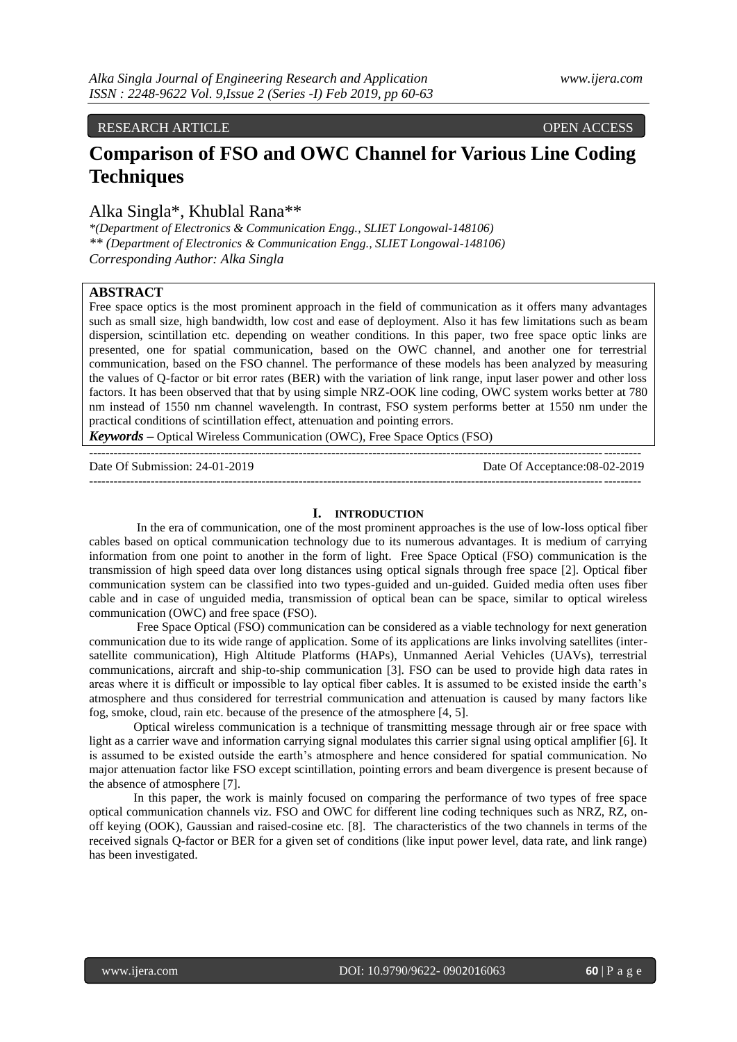### RESEARCH ARTICLE OPEN ACCESS

# **Comparison of FSO and OWC Channel for Various Line Coding Techniques**

Alka Singla\*, Khublal Rana\*\*

*\*(Department of Electronics & Communication Engg., SLIET Longowal-148106) \*\* (Department of Electronics & Communication Engg., SLIET Longowal-148106) Corresponding Author: Alka Singla*

# **ABSTRACT**

Free space optics is the most prominent approach in the field of communication as it offers many advantages such as small size, high bandwidth, low cost and ease of deployment. Also it has few limitations such as beam dispersion, scintillation etc. depending on weather conditions. In this paper, two free space optic links are presented, one for spatial communication, based on the OWC channel, and another one for terrestrial communication, based on the FSO channel. The performance of these models has been analyzed by measuring the values of Q-factor or bit error rates (BER) with the variation of link range, input laser power and other loss factors. It has been observed that that by using simple NRZ-OOK line coding, OWC system works better at 780 nm instead of 1550 nm channel wavelength. In contrast, FSO system performs better at 1550 nm under the practical conditions of scintillation effect, attenuation and pointing errors.

*Keywords* **–** Optical Wireless Communication (OWC), Free Space Optics (FSO)

| Date Of Submission: 24-01-2019 | Date Of Acceptance: 08-02-2019 |
|--------------------------------|--------------------------------|
|                                |                                |

--------------------------------------------------------------------------------------------------------------------------------------

#### **I. INTRODUCTION**

In the era of communication, one of the most prominent approaches is the use of low-loss optical fiber cables based on optical communication technology due to its numerous advantages. It is medium of carrying information from one point to another in the form of light. Free Space Optical (FSO) communication is the transmission of high speed data over long distances using optical signals through free space [2]. Optical fiber communication system can be classified into two types-guided and un-guided. Guided media often uses fiber cable and in case of unguided media, transmission of optical bean can be space, similar to optical wireless communication (OWC) and free space (FSO).

Free Space Optical (FSO) communication can be considered as a viable technology for next generation communication due to its wide range of application. Some of its applications are links involving satellites (intersatellite communication), High Altitude Platforms (HAPs), Unmanned Aerial Vehicles (UAVs), terrestrial communications, aircraft and ship-to-ship communication [3]. FSO can be used to provide high data rates in areas where it is difficult or impossible to lay optical fiber cables. It is assumed to be existed inside the earth's atmosphere and thus considered for terrestrial communication and attenuation is caused by many factors like fog, smoke, cloud, rain etc. because of the presence of the atmosphere [4, 5].

Optical wireless communication is a technique of transmitting message through air or free space with light as a carrier wave and information carrying signal modulates this carrier signal using optical amplifier [6]. It is assumed to be existed outside the earth's atmosphere and hence considered for spatial communication. No major attenuation factor like FSO except scintillation, pointing errors and beam divergence is present because of the absence of atmosphere [7].

In this paper, the work is mainly focused on comparing the performance of two types of free space optical communication channels viz. FSO and OWC for different line coding techniques such as NRZ, RZ, onoff keying (OOK), Gaussian and raised-cosine etc. [8]. The characteristics of the two channels in terms of the received signals Q-factor or BER for a given set of conditions (like input power level, data rate, and link range) has been investigated.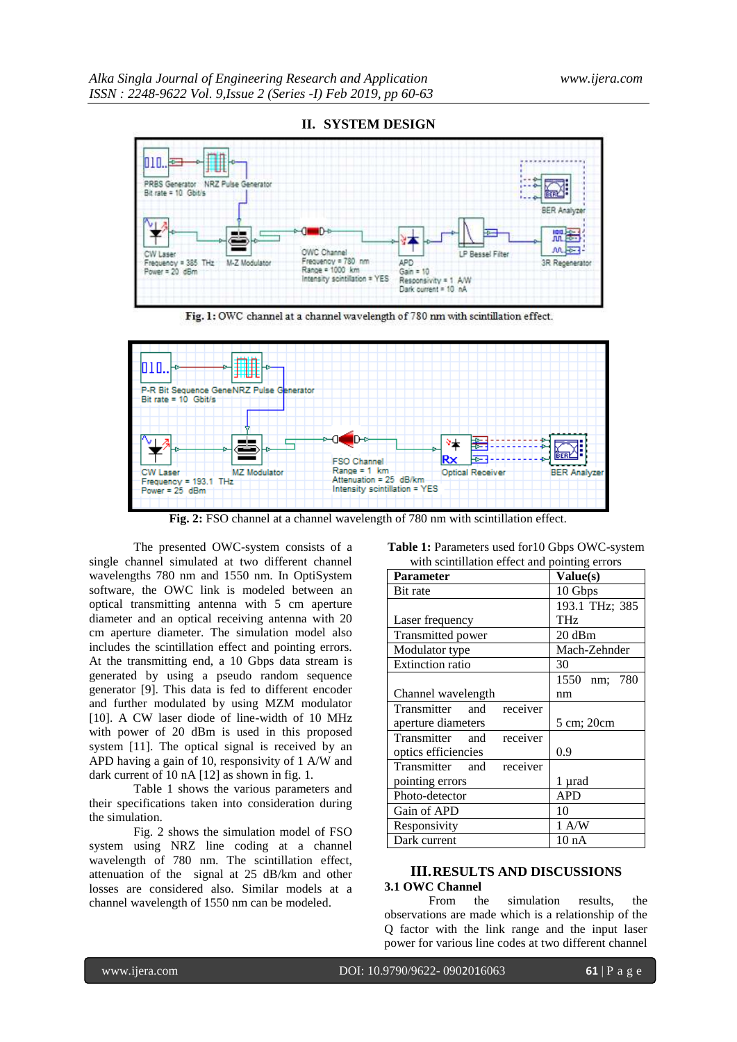

#### **II. SYSTEM DESIGN**

Fig. 1: OWC channel at a channel wavelength of 780 nm with scintillation effect.



**Fig. 2:** FSO channel at a channel wavelength of 780 nm with scintillation effect.

The presented OWC-system consists of a single channel simulated at two different channel wavelengths 780 nm and 1550 nm. In OptiSystem software, the OWC link is modeled between an optical transmitting antenna with 5 cm aperture diameter and an optical receiving antenna with 20 cm aperture diameter. The simulation model also includes the scintillation effect and pointing errors. At the transmitting end, a 10 Gbps data stream is generated by using a pseudo random sequence generator [9]. This data is fed to different encoder and further modulated by using MZM modulator [10]. A CW laser diode of line-width of 10 MHz with power of 20 dBm is used in this proposed system [11]. The optical signal is received by an APD having a gain of 10, responsivity of 1 A/W and dark current of 10 nA [12] as shown in fig. 1.

Table 1 shows the various parameters and their specifications taken into consideration during the simulation.

Fig. 2 shows the simulation model of FSO system using NRZ line coding at a channel wavelength of 780 nm. The scintillation effect, attenuation of the signal at 25 dB/km and other losses are considered also. Similar models at a channel wavelength of 1550 nm can be modeled.

| <b>Table 1:</b> Parameters used for 10 Gbps OWC-system |  |
|--------------------------------------------------------|--|
| with scintillation effect and pointing errors          |  |

| <b>Parameter</b>            | Value(s)        |  |
|-----------------------------|-----------------|--|
| Bit rate                    | 10 Gbps         |  |
|                             | 193.1 THz; 385  |  |
| Laser frequency             | <b>THz</b>      |  |
| Transmitted power           | 20 dBm          |  |
| Modulator type              | Mach-Zehnder    |  |
| <b>Extinction</b> ratio     | 30              |  |
|                             | 1550 nm; 780    |  |
| Channel wavelength          | nm              |  |
| Transmitter and<br>receiver |                 |  |
| aperture diameters          | 5 cm; 20cm      |  |
| Transmitter and<br>receiver |                 |  |
| optics efficiencies         | 0.9             |  |
| Transmitter and<br>receiver |                 |  |
| pointing errors             | 1 µrad          |  |
| Photo-detector              | APD             |  |
| Gain of APD                 | 10              |  |
| Responsivity                | 1 A/W           |  |
| Dark current                | $10 \text{ nA}$ |  |

# **III.RESULTS AND DISCUSSIONS**

## **3.1 OWC Channel**

From the simulation results, the observations are made which is a relationship of the Q factor with the link range and the input laser power for various line codes at two different channel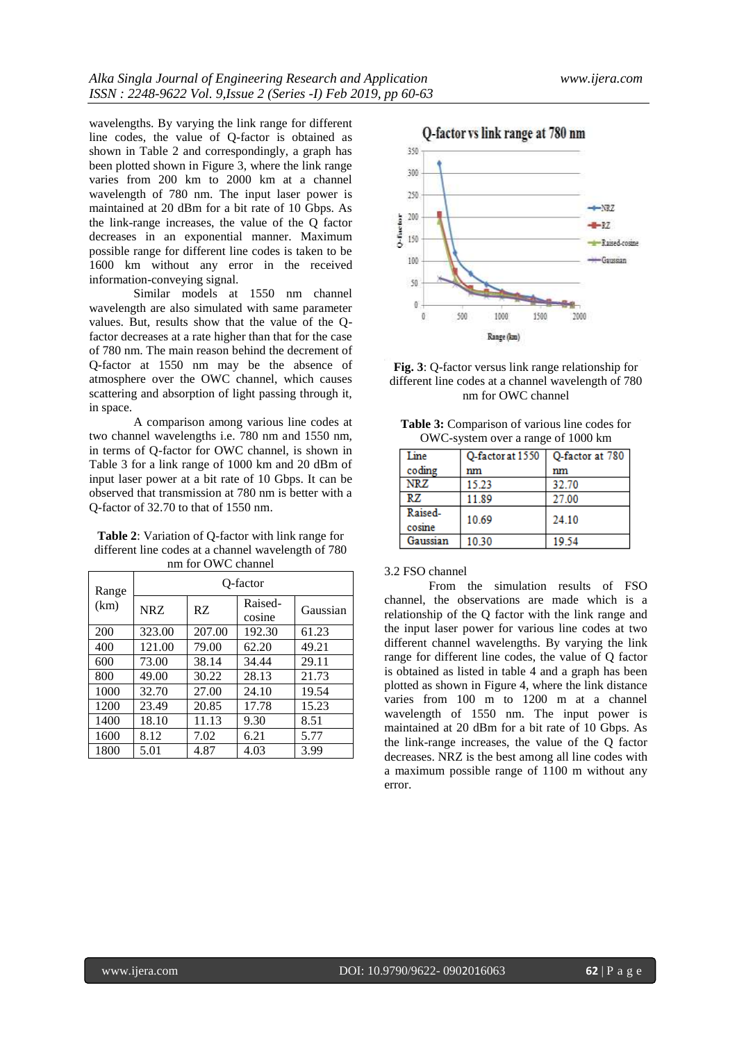wavelengths. By varying the link range for different line codes, the value of Q-factor is obtained as shown in Table 2 and correspondingly, a graph has been plotted shown in Figure 3, where the link range varies from 200 km to 2000 km at a channel wavelength of 780 nm. The input laser power is maintained at 20 dBm for a bit rate of 10 Gbps. As the link-range increases, the value of the Q factor decreases in an exponential manner. Maximum possible range for different line codes is taken to be 1600 km without any error in the received information-conveying signal.

Similar models at 1550 nm channel wavelength are also simulated with same parameter values. But, results show that the value of the Qfactor decreases at a rate higher than that for the case of 780 nm. The main reason behind the decrement of Q-factor at 1550 nm may be the absence of atmosphere over the OWC channel, which causes scattering and absorption of light passing through it, in space.

A comparison among various line codes at two channel wavelengths i.e. 780 nm and 1550 nm, in terms of Q-factor for OWC channel, is shown in Table 3 for a link range of 1000 km and 20 dBm of input laser power at a bit rate of 10 Gbps. It can be observed that transmission at 780 nm is better with a Q-factor of 32.70 to that of 1550 nm.

**Table 2**: Variation of Q-factor with link range for different line codes at a channel wavelength of 780 nm for OWC channel

| Range | O-factor |        |                   |          |
|-------|----------|--------|-------------------|----------|
| (km)  | NRZ      | RZ.    | Raised-<br>cosine | Gaussian |
| 200   | 323.00   | 207.00 | 192.30            | 61.23    |
| 400   | 121.00   | 79.00  | 62.20             | 49.21    |
| 600   | 73.00    | 38.14  | 34.44             | 29.11    |
| 800   | 49.00    | 30.22  | 28.13             | 21.73    |
| 1000  | 32.70    | 27.00  | 24.10             | 19.54    |
| 1200  | 23.49    | 20.85  | 17.78             | 15.23    |
| 1400  | 18.10    | 11.13  | 9.30              | 8.51     |
| 1600  | 8.12     | 7.02   | 6.21              | 5.77     |
| 1800  | 5.01     | 4.87   | 4.03              | 3.99     |





| <b>Table 3:</b> Comparison of various line codes for |
|------------------------------------------------------|
| OWC-system over a range of 1000 km                   |

| Line              | O-factor at 1550 | O-factor at 780 |
|-------------------|------------------|-----------------|
| coding            | mm               | nm              |
| <b>NRZ</b>        | 15.23            | 32.70           |
| RZ.               | 11.89            | 27.00           |
| Raised-<br>cosine | 10.69            | 24.10           |
| Gaussian          | 10.30            | 19.54           |

#### 3.2 FSO channel

From the simulation results of FSO channel, the observations are made which is a relationship of the Q factor with the link range and the input laser power for various line codes at two different channel wavelengths. By varying the link range for different line codes, the value of Q factor is obtained as listed in table 4 and a graph has been plotted as shown in Figure 4, where the link distance varies from 100 m to 1200 m at a channel wavelength of 1550 nm. The input power is maintained at 20 dBm for a bit rate of 10 Gbps. As the link-range increases, the value of the Q factor decreases. NRZ is the best among all line codes with a maximum possible range of 1100 m without any error.